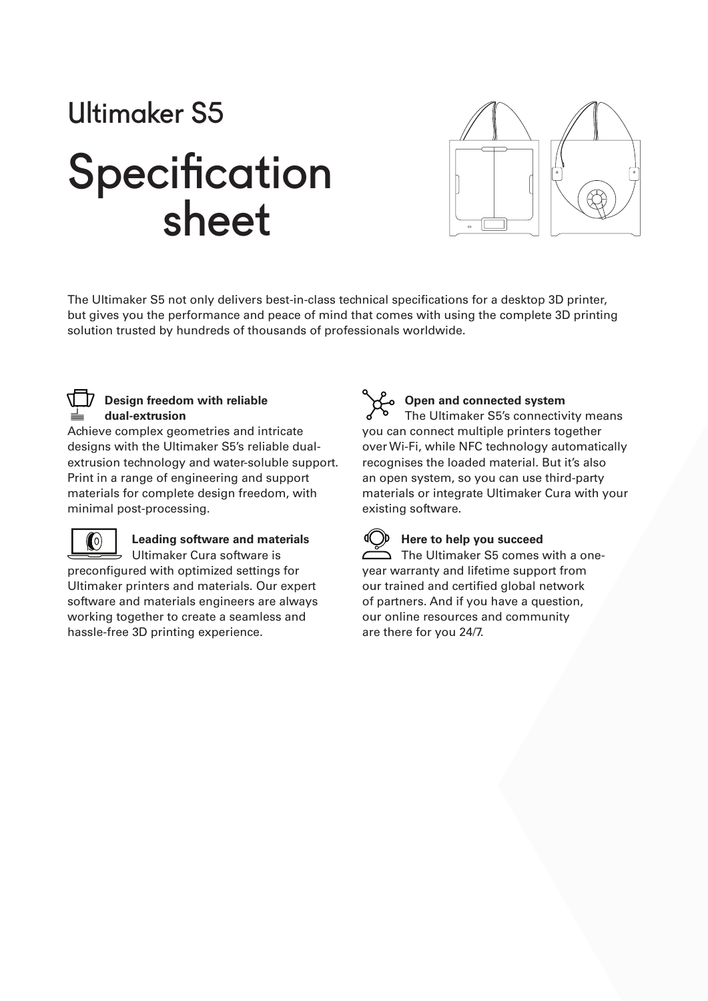# Ultimaker S5

## **Specification** sheet



The Ultimaker S5 not only delivers best-in-class technical specifications for a desktop 3D printer, but gives you the performance and peace of mind that comes with using the complete 3D printing solution trusted by hundreds of thousands of professionals worldwide.



#### **Design freedom with reliable dual-extrusion**

Achieve complex geometries and intricate designs with the Ultimaker S5's reliable dualextrusion technology and water-soluble support. Print in a range of engineering and support materials for complete design freedom, with minimal post-processing.



#### **Leading software and materials** Ultimaker Cura software is

preconfigured with optimized settings for Ultimaker printers and materials. Our expert software and materials engineers are always working together to create a seamless and hassle-free 3D printing experience.

#### **Open and connected system**

The Ultimaker S5's connectivity means you can connect multiple printers together over Wi-Fi, while NFC technology automatically recognises the loaded material. But it's also an open system, so you can use third-party materials or integrate Ultimaker Cura with your existing software.

#### **Here to help you succeed**

 $\sum$  The Ultimaker S5 comes with a oneyear warranty and lifetime support from our trained and certified global network of partners. And if you have a question, our online resources and community are there for you 24/7.